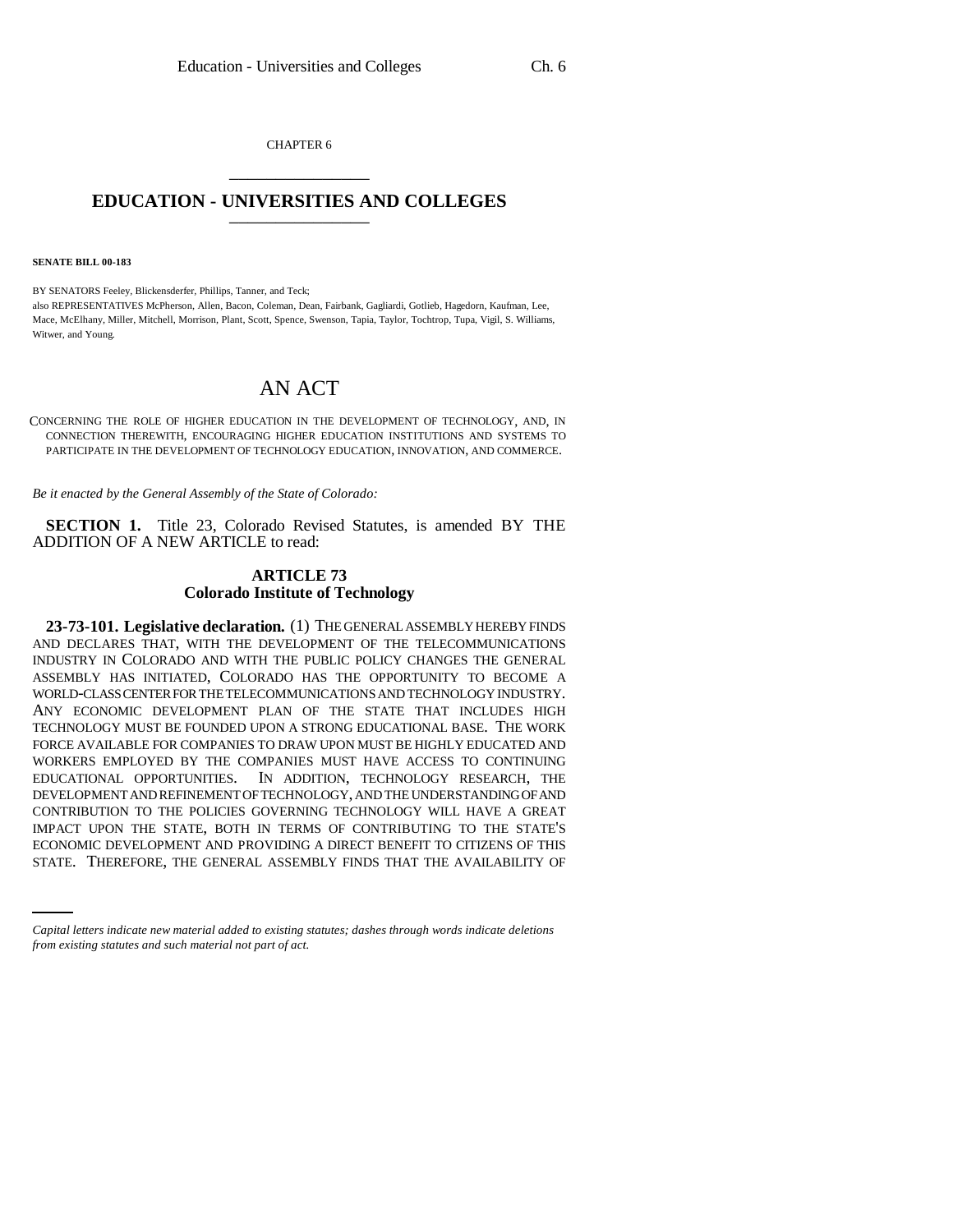CHAPTER 6 \_\_\_\_\_\_\_\_\_\_\_\_\_\_\_

## **EDUCATION - UNIVERSITIES AND COLLEGES** \_\_\_\_\_\_\_\_\_\_\_\_\_\_\_

**SENATE BILL 00-183** 

BY SENATORS Feeley, Blickensderfer, Phillips, Tanner, and Teck; also REPRESENTATIVES McPherson, Allen, Bacon, Coleman, Dean, Fairbank, Gagliardi, Gotlieb, Hagedorn, Kaufman, Lee, Mace, McElhany, Miller, Mitchell, Morrison, Plant, Scott, Spence, Swenson, Tapia, Taylor, Tochtrop, Tupa, Vigil, S. Williams, Witwer, and Young.

## AN ACT

CONCERNING THE ROLE OF HIGHER EDUCATION IN THE DEVELOPMENT OF TECHNOLOGY, AND, IN CONNECTION THEREWITH, ENCOURAGING HIGHER EDUCATION INSTITUTIONS AND SYSTEMS TO PARTICIPATE IN THE DEVELOPMENT OF TECHNOLOGY EDUCATION, INNOVATION, AND COMMERCE.

*Be it enacted by the General Assembly of the State of Colorado:*

**SECTION 1.** Title 23, Colorado Revised Statutes, is amended BY THE ADDITION OF A NEW ARTICLE to read:

## **ARTICLE 73 Colorado Institute of Technology**

IMPACT UPON THE STATE, BOTH IN TERMS OF CONTRIBUTING TO THE STATE'S **23-73-101. Legislative declaration.** (1) THE GENERAL ASSEMBLY HEREBY FINDS AND DECLARES THAT, WITH THE DEVELOPMENT OF THE TELECOMMUNICATIONS INDUSTRY IN COLORADO AND WITH THE PUBLIC POLICY CHANGES THE GENERAL ASSEMBLY HAS INITIATED, COLORADO HAS THE OPPORTUNITY TO BECOME A WORLD-CLASS CENTER FOR THE TELECOMMUNICATIONS AND TECHNOLOGY INDUSTRY. ANY ECONOMIC DEVELOPMENT PLAN OF THE STATE THAT INCLUDES HIGH TECHNOLOGY MUST BE FOUNDED UPON A STRONG EDUCATIONAL BASE. THE WORK FORCE AVAILABLE FOR COMPANIES TO DRAW UPON MUST BE HIGHLY EDUCATED AND WORKERS EMPLOYED BY THE COMPANIES MUST HAVE ACCESS TO CONTINUING EDUCATIONAL OPPORTUNITIES. IN ADDITION, TECHNOLOGY RESEARCH, THE DEVELOPMENT AND REFINEMENT OF TECHNOLOGY, AND THE UNDERSTANDING OF AND CONTRIBUTION TO THE POLICIES GOVERNING TECHNOLOGY WILL HAVE A GREAT ECONOMIC DEVELOPMENT AND PROVIDING A DIRECT BENEFIT TO CITIZENS OF THIS STATE. THEREFORE, THE GENERAL ASSEMBLY FINDS THAT THE AVAILABILITY OF

*Capital letters indicate new material added to existing statutes; dashes through words indicate deletions from existing statutes and such material not part of act.*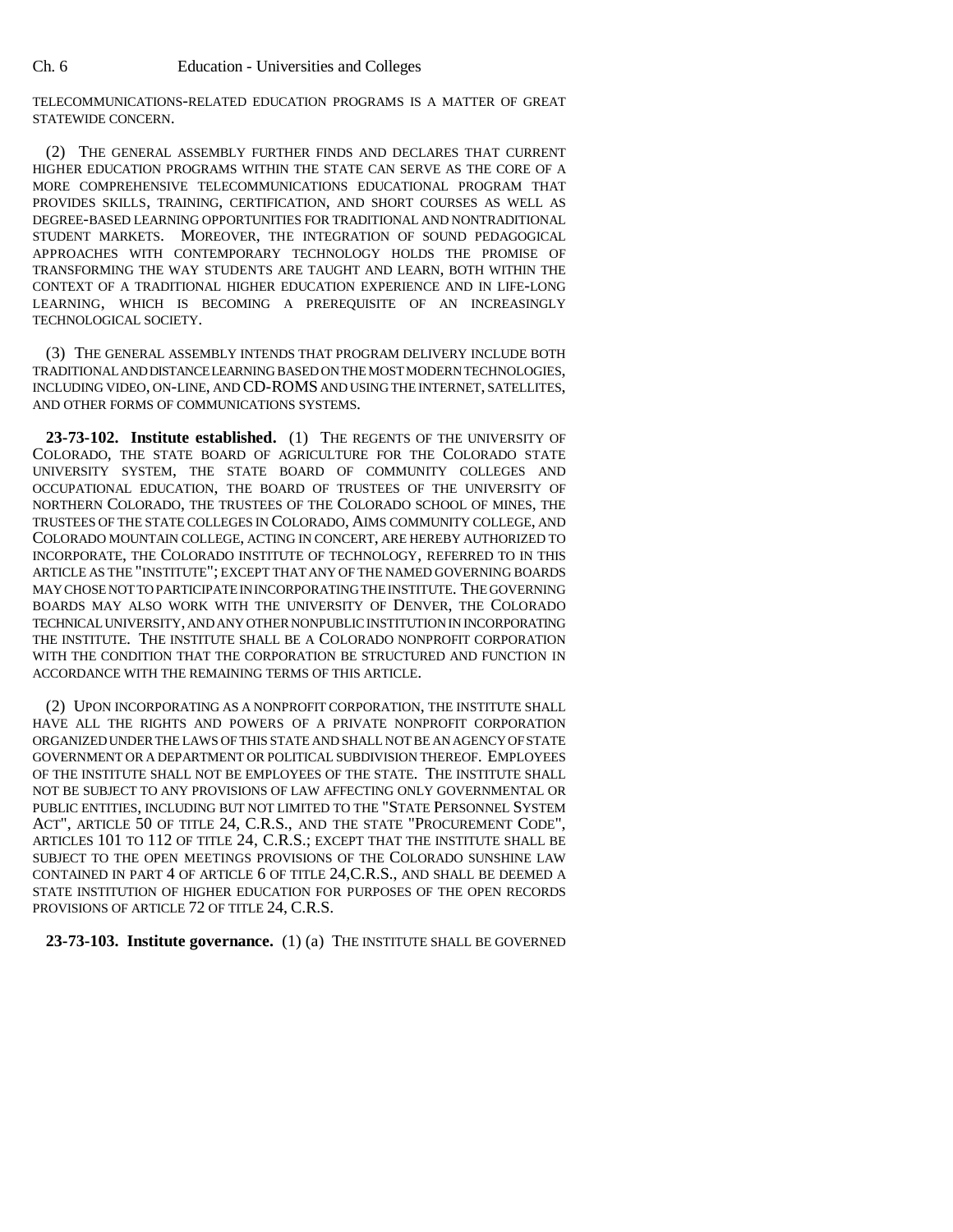TELECOMMUNICATIONS-RELATED EDUCATION PROGRAMS IS A MATTER OF GREAT STATEWIDE CONCERN.

(2) THE GENERAL ASSEMBLY FURTHER FINDS AND DECLARES THAT CURRENT HIGHER EDUCATION PROGRAMS WITHIN THE STATE CAN SERVE AS THE CORE OF A MORE COMPREHENSIVE TELECOMMUNICATIONS EDUCATIONAL PROGRAM THAT PROVIDES SKILLS, TRAINING, CERTIFICATION, AND SHORT COURSES AS WELL AS DEGREE-BASED LEARNING OPPORTUNITIES FOR TRADITIONAL AND NONTRADITIONAL STUDENT MARKETS. MOREOVER, THE INTEGRATION OF SOUND PEDAGOGICAL APPROACHES WITH CONTEMPORARY TECHNOLOGY HOLDS THE PROMISE OF TRANSFORMING THE WAY STUDENTS ARE TAUGHT AND LEARN, BOTH WITHIN THE CONTEXT OF A TRADITIONAL HIGHER EDUCATION EXPERIENCE AND IN LIFE-LONG LEARNING, WHICH IS BECOMING A PREREQUISITE OF AN INCREASINGLY TECHNOLOGICAL SOCIETY.

(3) THE GENERAL ASSEMBLY INTENDS THAT PROGRAM DELIVERY INCLUDE BOTH TRADITIONAL AND DISTANCE LEARNING BASED ON THE MOST MODERN TECHNOLOGIES, INCLUDING VIDEO, ON-LINE, AND CD-ROMS AND USING THE INTERNET, SATELLITES, AND OTHER FORMS OF COMMUNICATIONS SYSTEMS.

**23-73-102. Institute established.** (1) THE REGENTS OF THE UNIVERSITY OF COLORADO, THE STATE BOARD OF AGRICULTURE FOR THE COLORADO STATE UNIVERSITY SYSTEM, THE STATE BOARD OF COMMUNITY COLLEGES AND OCCUPATIONAL EDUCATION, THE BOARD OF TRUSTEES OF THE UNIVERSITY OF NORTHERN COLORADO, THE TRUSTEES OF THE COLORADO SCHOOL OF MINES, THE TRUSTEES OF THE STATE COLLEGES IN COLORADO, AIMS COMMUNITY COLLEGE, AND COLORADO MOUNTAIN COLLEGE, ACTING IN CONCERT, ARE HEREBY AUTHORIZED TO INCORPORATE, THE COLORADO INSTITUTE OF TECHNOLOGY, REFERRED TO IN THIS ARTICLE AS THE "INSTITUTE"; EXCEPT THAT ANY OF THE NAMED GOVERNING BOARDS MAY CHOSE NOT TO PARTICIPATE IN INCORPORATING THE INSTITUTE. THE GOVERNING BOARDS MAY ALSO WORK WITH THE UNIVERSITY OF DENVER, THE COLORADO TECHNICAL UNIVERSITY, AND ANY OTHER NONPUBLIC INSTITUTION IN INCORPORATING THE INSTITUTE. THE INSTITUTE SHALL BE A COLORADO NONPROFIT CORPORATION WITH THE CONDITION THAT THE CORPORATION BE STRUCTURED AND FUNCTION IN ACCORDANCE WITH THE REMAINING TERMS OF THIS ARTICLE.

(2) UPON INCORPORATING AS A NONPROFIT CORPORATION, THE INSTITUTE SHALL HAVE ALL THE RIGHTS AND POWERS OF A PRIVATE NONPROFIT CORPORATION ORGANIZED UNDER THE LAWS OF THIS STATE AND SHALL NOT BE AN AGENCY OF STATE GOVERNMENT OR A DEPARTMENT OR POLITICAL SUBDIVISION THEREOF. EMPLOYEES OF THE INSTITUTE SHALL NOT BE EMPLOYEES OF THE STATE. THE INSTITUTE SHALL NOT BE SUBJECT TO ANY PROVISIONS OF LAW AFFECTING ONLY GOVERNMENTAL OR PUBLIC ENTITIES, INCLUDING BUT NOT LIMITED TO THE "STATE PERSONNEL SYSTEM ACT", ARTICLE 50 OF TITLE 24, C.R.S., AND THE STATE "PROCUREMENT CODE", ARTICLES 101 TO 112 OF TITLE 24, C.R.S.; EXCEPT THAT THE INSTITUTE SHALL BE SUBJECT TO THE OPEN MEETINGS PROVISIONS OF THE COLORADO SUNSHINE LAW CONTAINED IN PART 4 OF ARTICLE 6 OF TITLE 24,C.R.S., AND SHALL BE DEEMED A STATE INSTITUTION OF HIGHER EDUCATION FOR PURPOSES OF THE OPEN RECORDS PROVISIONS OF ARTICLE 72 OF TITLE 24, C.R.S.

**23-73-103. Institute governance.** (1) (a) THE INSTITUTE SHALL BE GOVERNED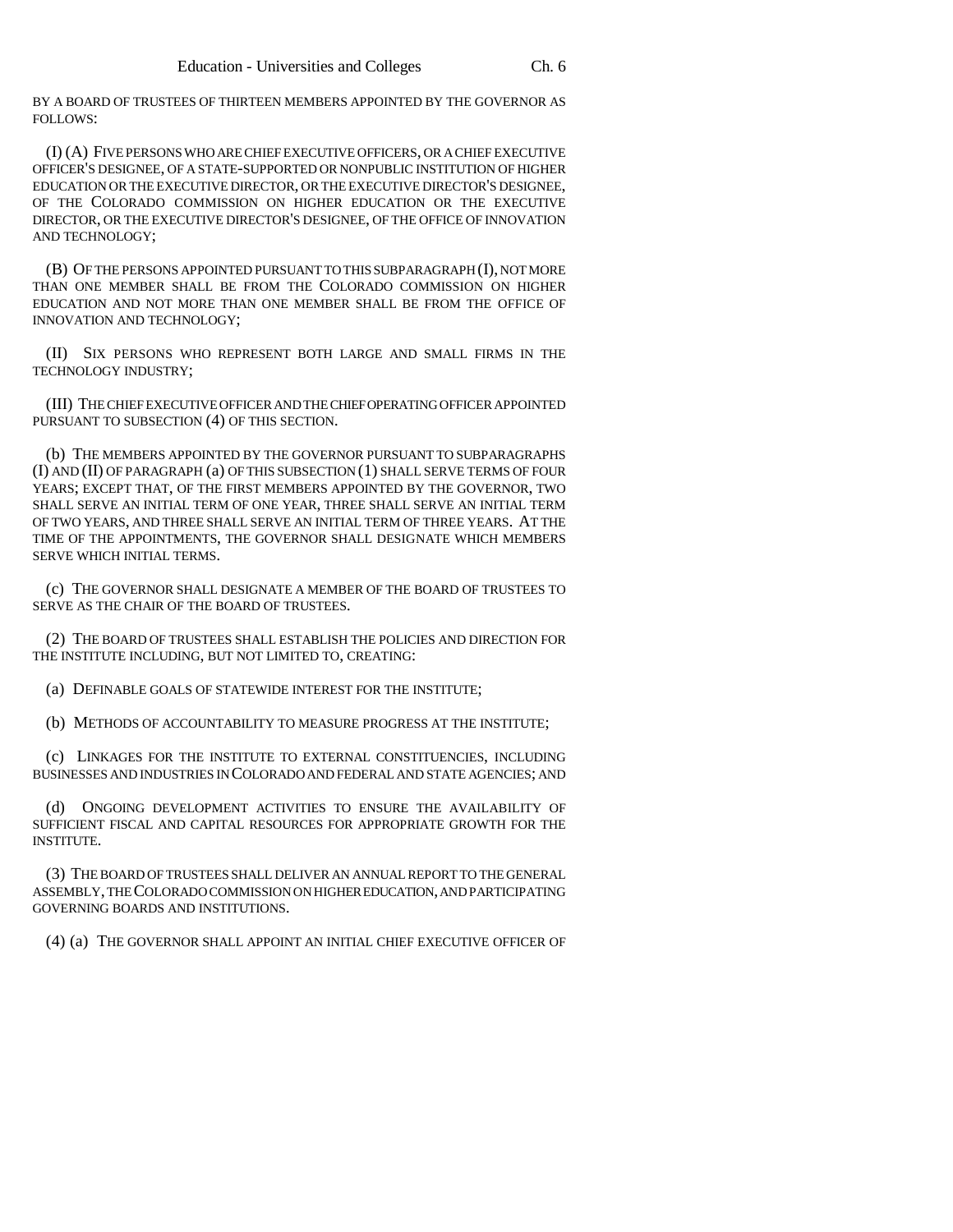BY A BOARD OF TRUSTEES OF THIRTEEN MEMBERS APPOINTED BY THE GOVERNOR AS FOLLOWS:

(I) (A) FIVE PERSONS WHO ARE CHIEF EXECUTIVE OFFICERS, OR A CHIEF EXECUTIVE OFFICER'S DESIGNEE, OF A STATE-SUPPORTED OR NONPUBLIC INSTITUTION OF HIGHER EDUCATION OR THE EXECUTIVE DIRECTOR, OR THE EXECUTIVE DIRECTOR'S DESIGNEE, OF THE COLORADO COMMISSION ON HIGHER EDUCATION OR THE EXECUTIVE DIRECTOR, OR THE EXECUTIVE DIRECTOR'S DESIGNEE, OF THE OFFICE OF INNOVATION AND TECHNOLOGY;

(B) OF THE PERSONS APPOINTED PURSUANT TO THIS SUBPARAGRAPH (I), NOT MORE THAN ONE MEMBER SHALL BE FROM THE COLORADO COMMISSION ON HIGHER EDUCATION AND NOT MORE THAN ONE MEMBER SHALL BE FROM THE OFFICE OF INNOVATION AND TECHNOLOGY;

(II) SIX PERSONS WHO REPRESENT BOTH LARGE AND SMALL FIRMS IN THE TECHNOLOGY INDUSTRY;

(III) THE CHIEF EXECUTIVE OFFICER AND THE CHIEF OPERATING OFFICER APPOINTED PURSUANT TO SUBSECTION (4) OF THIS SECTION.

(b) THE MEMBERS APPOINTED BY THE GOVERNOR PURSUANT TO SUBPARAGRAPHS (I) AND (II) OF PARAGRAPH (a) OF THIS SUBSECTION (1) SHALL SERVE TERMS OF FOUR YEARS; EXCEPT THAT, OF THE FIRST MEMBERS APPOINTED BY THE GOVERNOR, TWO SHALL SERVE AN INITIAL TERM OF ONE YEAR, THREE SHALL SERVE AN INITIAL TERM OF TWO YEARS, AND THREE SHALL SERVE AN INITIAL TERM OF THREE YEARS. AT THE TIME OF THE APPOINTMENTS, THE GOVERNOR SHALL DESIGNATE WHICH MEMBERS SERVE WHICH INITIAL TERMS.

(c) THE GOVERNOR SHALL DESIGNATE A MEMBER OF THE BOARD OF TRUSTEES TO SERVE AS THE CHAIR OF THE BOARD OF TRUSTEES.

(2) THE BOARD OF TRUSTEES SHALL ESTABLISH THE POLICIES AND DIRECTION FOR THE INSTITUTE INCLUDING, BUT NOT LIMITED TO, CREATING:

(a) DEFINABLE GOALS OF STATEWIDE INTEREST FOR THE INSTITUTE;

(b) METHODS OF ACCOUNTABILITY TO MEASURE PROGRESS AT THE INSTITUTE;

(c) LINKAGES FOR THE INSTITUTE TO EXTERNAL CONSTITUENCIES, INCLUDING BUSINESSES AND INDUSTRIES IN COLORADO AND FEDERAL AND STATE AGENCIES; AND

(d) ONGOING DEVELOPMENT ACTIVITIES TO ENSURE THE AVAILABILITY OF SUFFICIENT FISCAL AND CAPITAL RESOURCES FOR APPROPRIATE GROWTH FOR THE INSTITUTE.

(3) THE BOARD OF TRUSTEES SHALL DELIVER AN ANNUAL REPORT TO THE GENERAL ASSEMBLY, THE COLORADO COMMISSION ON HIGHER EDUCATION, AND PARTICIPATING GOVERNING BOARDS AND INSTITUTIONS.

(4) (a) THE GOVERNOR SHALL APPOINT AN INITIAL CHIEF EXECUTIVE OFFICER OF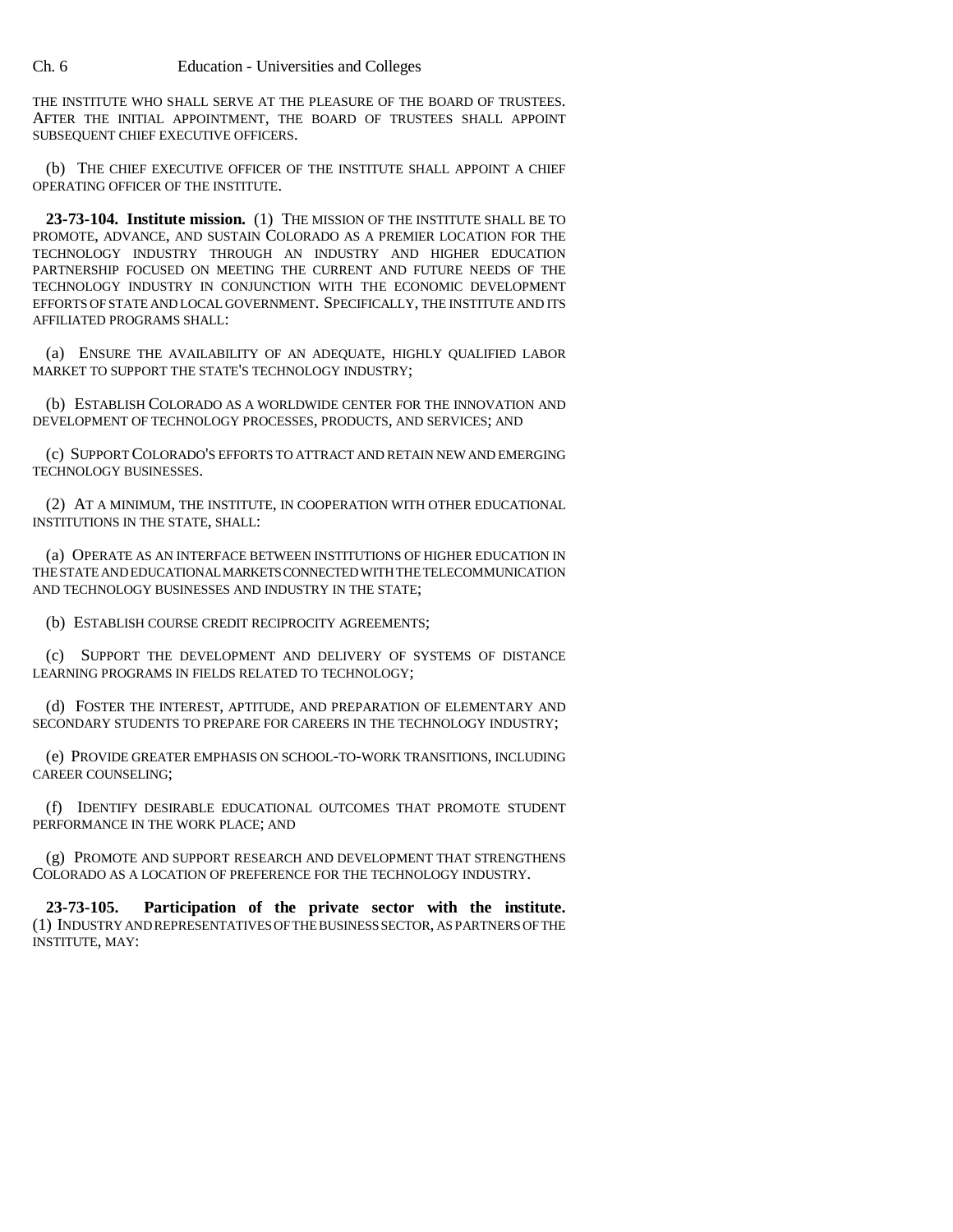Ch. 6 Education - Universities and Colleges

THE INSTITUTE WHO SHALL SERVE AT THE PLEASURE OF THE BOARD OF TRUSTEES. AFTER THE INITIAL APPOINTMENT, THE BOARD OF TRUSTEES SHALL APPOINT SUBSEQUENT CHIEF EXECUTIVE OFFICERS.

(b) THE CHIEF EXECUTIVE OFFICER OF THE INSTITUTE SHALL APPOINT A CHIEF OPERATING OFFICER OF THE INSTITUTE.

**23-73-104. Institute mission.** (1) THE MISSION OF THE INSTITUTE SHALL BE TO PROMOTE, ADVANCE, AND SUSTAIN COLORADO AS A PREMIER LOCATION FOR THE TECHNOLOGY INDUSTRY THROUGH AN INDUSTRY AND HIGHER EDUCATION PARTNERSHIP FOCUSED ON MEETING THE CURRENT AND FUTURE NEEDS OF THE TECHNOLOGY INDUSTRY IN CONJUNCTION WITH THE ECONOMIC DEVELOPMENT EFFORTS OF STATE AND LOCAL GOVERNMENT. SPECIFICALLY, THE INSTITUTE AND ITS AFFILIATED PROGRAMS SHALL:

(a) ENSURE THE AVAILABILITY OF AN ADEQUATE, HIGHLY QUALIFIED LABOR MARKET TO SUPPORT THE STATE'S TECHNOLOGY INDUSTRY;

(b) ESTABLISH COLORADO AS A WORLDWIDE CENTER FOR THE INNOVATION AND DEVELOPMENT OF TECHNOLOGY PROCESSES, PRODUCTS, AND SERVICES; AND

(c) SUPPORT COLORADO'S EFFORTS TO ATTRACT AND RETAIN NEW AND EMERGING TECHNOLOGY BUSINESSES.

(2) AT A MINIMUM, THE INSTITUTE, IN COOPERATION WITH OTHER EDUCATIONAL INSTITUTIONS IN THE STATE, SHALL:

(a) OPERATE AS AN INTERFACE BETWEEN INSTITUTIONS OF HIGHER EDUCATION IN THE STATE AND EDUCATIONAL MARKETS CONNECTED WITH THE TELECOMMUNICATION AND TECHNOLOGY BUSINESSES AND INDUSTRY IN THE STATE;

(b) ESTABLISH COURSE CREDIT RECIPROCITY AGREEMENTS;

(c) SUPPORT THE DEVELOPMENT AND DELIVERY OF SYSTEMS OF DISTANCE LEARNING PROGRAMS IN FIELDS RELATED TO TECHNOLOGY;

(d) FOSTER THE INTEREST, APTITUDE, AND PREPARATION OF ELEMENTARY AND SECONDARY STUDENTS TO PREPARE FOR CAREERS IN THE TECHNOLOGY INDUSTRY;

(e) PROVIDE GREATER EMPHASIS ON SCHOOL-TO-WORK TRANSITIONS, INCLUDING CAREER COUNSELING;

(f) IDENTIFY DESIRABLE EDUCATIONAL OUTCOMES THAT PROMOTE STUDENT PERFORMANCE IN THE WORK PLACE; AND

(g) PROMOTE AND SUPPORT RESEARCH AND DEVELOPMENT THAT STRENGTHENS COLORADO AS A LOCATION OF PREFERENCE FOR THE TECHNOLOGY INDUSTRY.

**23-73-105. Participation of the private sector with the institute.** (1) INDUSTRY AND REPRESENTATIVES OF THE BUSINESS SECTOR, AS PARTNERS OF THE INSTITUTE, MAY: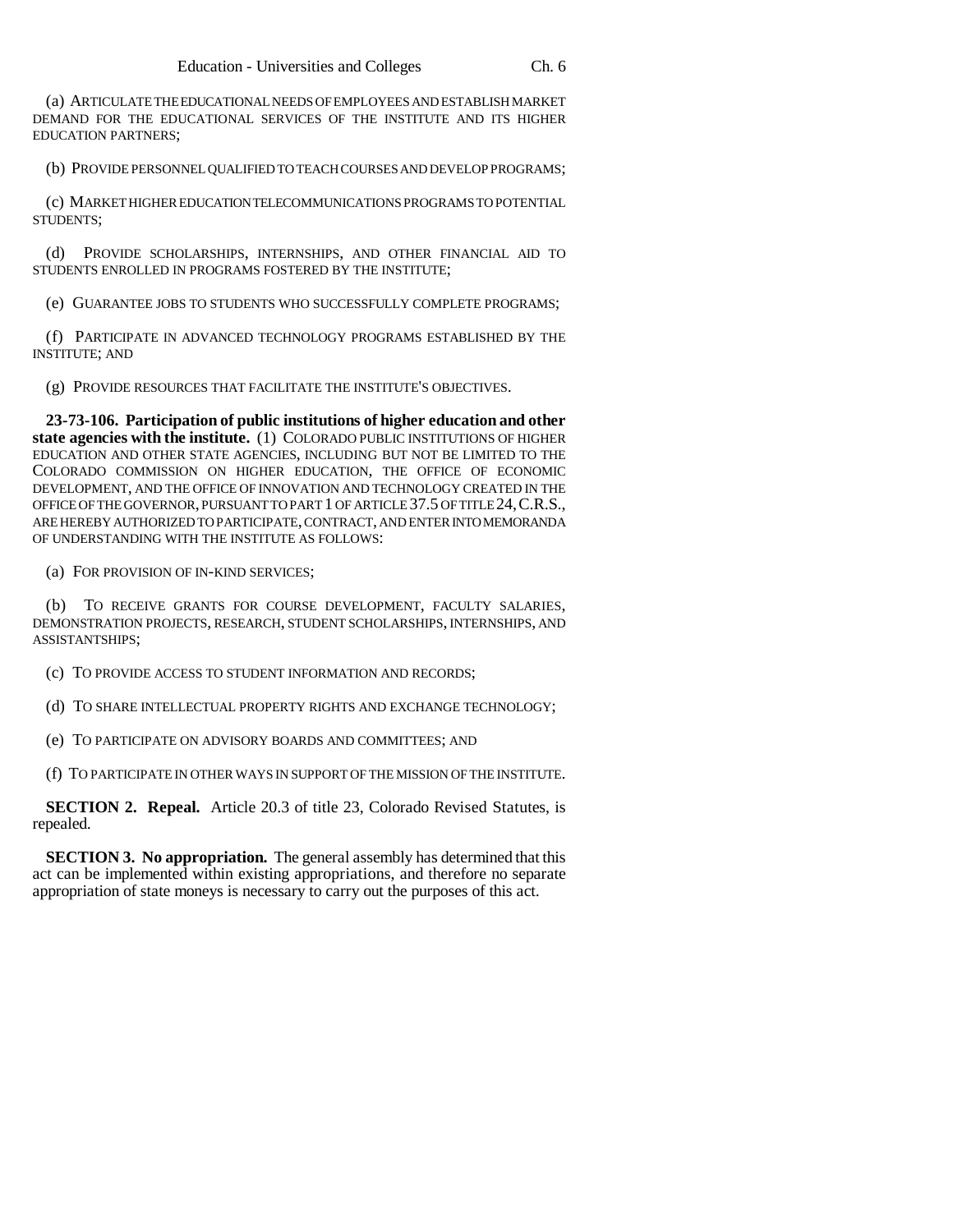(a) ARTICULATE THE EDUCATIONAL NEEDS OF EMPLOYEES AND ESTABLISH MARKET DEMAND FOR THE EDUCATIONAL SERVICES OF THE INSTITUTE AND ITS HIGHER EDUCATION PARTNERS;

(b) PROVIDE PERSONNEL QUALIFIED TO TEACH COURSES AND DEVELOP PROGRAMS;

(c) MARKET HIGHER EDUCATION TELECOMMUNICATIONS PROGRAMS TO POTENTIAL STUDENTS;

(d) PROVIDE SCHOLARSHIPS, INTERNSHIPS, AND OTHER FINANCIAL AID TO STUDENTS ENROLLED IN PROGRAMS FOSTERED BY THE INSTITUTE;

(e) GUARANTEE JOBS TO STUDENTS WHO SUCCESSFULLY COMPLETE PROGRAMS;

(f) PARTICIPATE IN ADVANCED TECHNOLOGY PROGRAMS ESTABLISHED BY THE INSTITUTE; AND

(g) PROVIDE RESOURCES THAT FACILITATE THE INSTITUTE'S OBJECTIVES.

**23-73-106. Participation of public institutions of higher education and other state agencies with the institute.** (1) COLORADO PUBLIC INSTITUTIONS OF HIGHER EDUCATION AND OTHER STATE AGENCIES, INCLUDING BUT NOT BE LIMITED TO THE COLORADO COMMISSION ON HIGHER EDUCATION, THE OFFICE OF ECONOMIC DEVELOPMENT, AND THE OFFICE OF INNOVATION AND TECHNOLOGY CREATED IN THE OFFICE OF THE GOVERNOR, PURSUANT TO PART 1 OF ARTICLE 37.5 OF TITLE 24,C.R.S., ARE HEREBY AUTHORIZED TO PARTICIPATE, CONTRACT, AND ENTER INTO MEMORANDA OF UNDERSTANDING WITH THE INSTITUTE AS FOLLOWS:

(a) FOR PROVISION OF IN-KIND SERVICES;

(b) TO RECEIVE GRANTS FOR COURSE DEVELOPMENT, FACULTY SALARIES, DEMONSTRATION PROJECTS, RESEARCH, STUDENT SCHOLARSHIPS, INTERNSHIPS, AND ASSISTANTSHIPS;

(c) TO PROVIDE ACCESS TO STUDENT INFORMATION AND RECORDS;

(d) TO SHARE INTELLECTUAL PROPERTY RIGHTS AND EXCHANGE TECHNOLOGY;

(e) TO PARTICIPATE ON ADVISORY BOARDS AND COMMITTEES; AND

(f) TO PARTICIPATE IN OTHER WAYS IN SUPPORT OF THE MISSION OF THE INSTITUTE.

**SECTION 2. Repeal.** Article 20.3 of title 23, Colorado Revised Statutes, is repealed.

**SECTION 3. No appropriation.** The general assembly has determined that this act can be implemented within existing appropriations, and therefore no separate appropriation of state moneys is necessary to carry out the purposes of this act.